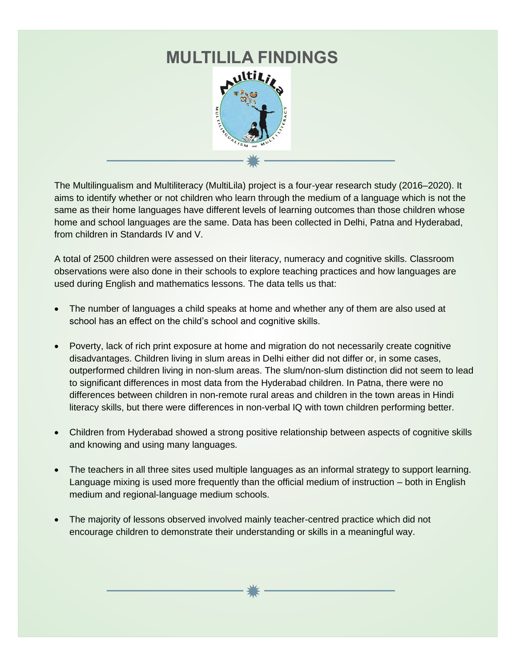

The Multilingualism and Multiliteracy (MultiLila) project is a four-year research study (2016–2020). It aims to identify whether or not children who learn through the medium of a language which is not the same as their home languages have different levels of learning outcomes than those children whose home and school languages are the same. Data has been collected in Delhi, Patna and Hyderabad, from children in Standards IV and V.

A total of 2500 children were assessed on their literacy, numeracy and cognitive skills. Classroom observations were also done in their schools to explore teaching practices and how languages are used during English and mathematics lessons. The data tells us that:

- The number of languages a child speaks at home and whether any of them are also used at school has an effect on the child's school and cognitive skills.
- Poverty, lack of rich print exposure at home and migration do not necessarily create cognitive disadvantages. Children living in slum areas in Delhi either did not differ or, in some cases, outperformed children living in non-slum areas. The slum/non-slum distinction did not seem to lead to significant differences in most data from the Hyderabad children. In Patna, there were no differences between children in non-remote rural areas and children in the town areas in Hindi literacy skills, but there were differences in non-verbal IQ with town children performing better.
- Children from Hyderabad showed a strong positive relationship between aspects of cognitive skills and knowing and using many languages.
- The teachers in all three sites used multiple languages as an informal strategy to support learning. Language mixing is used more frequently than the official medium of instruction – both in English medium and regional-language medium schools.
- The majority of lessons observed involved mainly teacher-centred practice which did not encourage children to demonstrate their understanding or skills in a meaningful way.